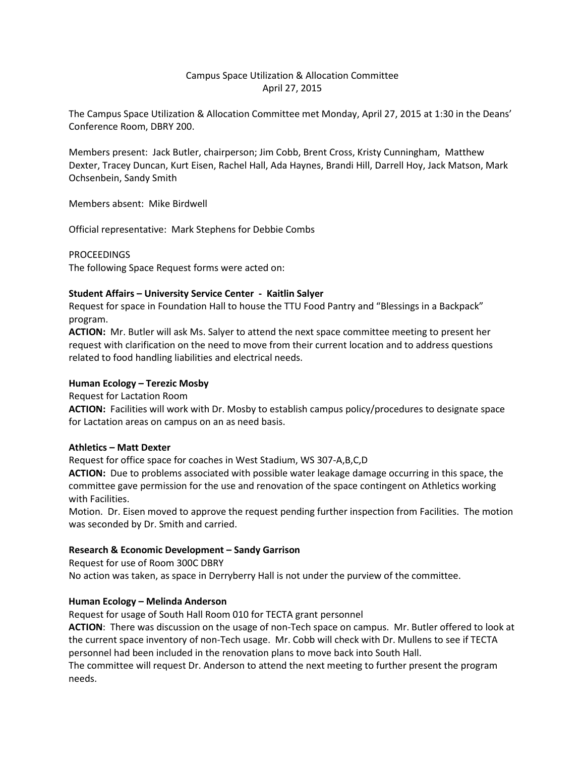# Campus Space Utilization & Allocation Committee April 27, 2015

The Campus Space Utilization & Allocation Committee met Monday, April 27, 2015 at 1:30 in the Deans' Conference Room, DBRY 200.

Members present: Jack Butler, chairperson; Jim Cobb, Brent Cross, Kristy Cunningham, Matthew Dexter, Tracey Duncan, Kurt Eisen, Rachel Hall, Ada Haynes, Brandi Hill, Darrell Hoy, Jack Matson, Mark Ochsenbein, Sandy Smith

Members absent: Mike Birdwell

Official representative: Mark Stephens for Debbie Combs

**PROCEEDINGS** 

The following Space Request forms were acted on:

### **Student Affairs – University Service Center - Kaitlin Salyer**

Request for space in Foundation Hall to house the TTU Food Pantry and "Blessings in a Backpack" program.

**ACTION:** Mr. Butler will ask Ms. Salyer to attend the next space committee meeting to present her request with clarification on the need to move from their current location and to address questions related to food handling liabilities and electrical needs.

### **Human Ecology – Terezic Mosby**

Request for Lactation Room

**ACTION:** Facilities will work with Dr. Mosby to establish campus policy/procedures to designate space for Lactation areas on campus on an as need basis.

#### **Athletics – Matt Dexter**

Request for office space for coaches in West Stadium, WS 307-A,B,C,D

**ACTION:** Due to problems associated with possible water leakage damage occurring in this space, the committee gave permission for the use and renovation of the space contingent on Athletics working with Facilities.

Motion. Dr. Eisen moved to approve the request pending further inspection from Facilities. The motion was seconded by Dr. Smith and carried.

## **Research & Economic Development – Sandy Garrison**

Request for use of Room 300C DBRY No action was taken, as space in Derryberry Hall is not under the purview of the committee.

## **Human Ecology – Melinda Anderson**

Request for usage of South Hall Room 010 for TECTA grant personnel

**ACTION**: There was discussion on the usage of non-Tech space on campus. Mr. Butler offered to look at the current space inventory of non-Tech usage. Mr. Cobb will check with Dr. Mullens to see if TECTA personnel had been included in the renovation plans to move back into South Hall.

The committee will request Dr. Anderson to attend the next meeting to further present the program needs.